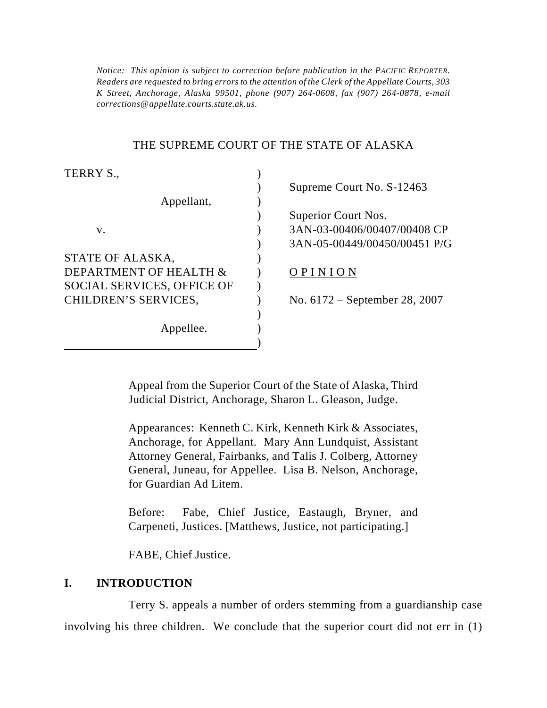*Notice: This opinion is subject to correction before publication in the PACIFIC REPORTER. Readers are requested to bring errors to the attention of the Clerk of the Appellate Courts, 303 K Street, Anchorage, Alaska 99501, phone (907) 264-0608, fax (907) 264-0878, e-mail corrections@appellate.courts.state.ak.us.*

#### THE SUPREME COURT OF THE STATE OF ALASKA

| TERRY S.,                         |                                 |
|-----------------------------------|---------------------------------|
|                                   | Supreme Court No. S-12463       |
| Appellant,                        |                                 |
|                                   | Superior Court Nos.             |
| V.                                | 3AN-03-00406/00407/00408 CP     |
|                                   | 3AN-05-00449/00450/00451 P/G    |
| STATE OF ALASKA,                  |                                 |
| DEPARTMENT OF HEALTH &            | OPINION                         |
| <b>SOCIAL SERVICES, OFFICE OF</b> |                                 |
| CHILDREN'S SERVICES,              | No. $6172$ – September 28, 2007 |
|                                   |                                 |
| Appellee.                         |                                 |
|                                   |                                 |

Appeal from the Superior Court of the State of Alaska, Third Judicial District, Anchorage, Sharon L. Gleason, Judge.

Appearances: Kenneth C. Kirk, Kenneth Kirk & Associates, Anchorage, for Appellant. Mary Ann Lundquist, Assistant Attorney General, Fairbanks, and Talis J. Colberg, Attorney General, Juneau, for Appellee. Lisa B. Nelson, Anchorage, for Guardian Ad Litem.

Before: Fabe, Chief Justice, Eastaugh, Bryner, and Carpeneti, Justices. [Matthews, Justice, not participating.]

FABE, Chief Justice.

### **I. INTRODUCTION**

Terry S. appeals a number of orders stemming from a guardianship case involving his three children. We conclude that the superior court did not err in (1)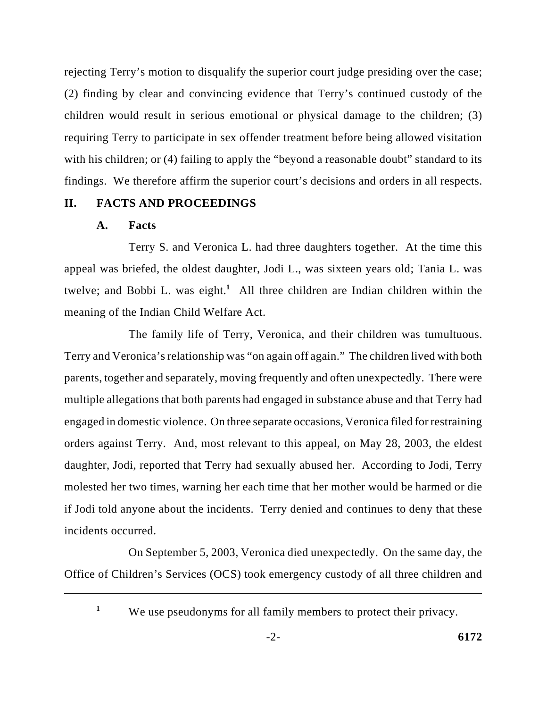rejecting Terry's motion to disqualify the superior court judge presiding over the case; (2) finding by clear and convincing evidence that Terry's continued custody of the children would result in serious emotional or physical damage to the children; (3) requiring Terry to participate in sex offender treatment before being allowed visitation with his children; or (4) failing to apply the "beyond a reasonable doubt" standard to its findings. We therefore affirm the superior court's decisions and orders in all respects.

## **II. FACTS AND PROCEEDINGS**

### **A. Facts**

Terry S. and Veronica L. had three daughters together. At the time this appeal was briefed, the oldest daughter, Jodi L., was sixteen years old; Tania L. was twelve; and Bobbi L. was eight.<sup>1</sup> All three children are Indian children within the meaning of the Indian Child Welfare Act.

The family life of Terry, Veronica, and their children was tumultuous. Terry and Veronica's relationship was "on again off again." The children lived with both parents, together and separately, moving frequently and often unexpectedly. There were multiple allegations that both parents had engaged in substance abuse and that Terry had engaged in domestic violence. On three separate occasions, Veronica filed for restraining orders against Terry. And, most relevant to this appeal, on May 28, 2003, the eldest daughter, Jodi, reported that Terry had sexually abused her. According to Jodi, Terry molested her two times, warning her each time that her mother would be harmed or die if Jodi told anyone about the incidents. Terry denied and continues to deny that these incidents occurred.

On September 5, 2003, Veronica died unexpectedly. On the same day, the Office of Children's Services (OCS) took emergency custody of all three children and

**1**

We use pseudonyms for all family members to protect their privacy.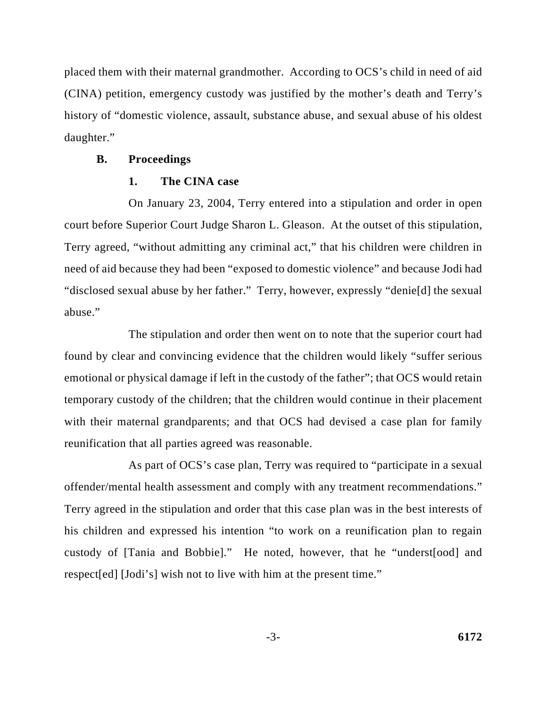placed them with their maternal grandmother. According to OCS's child in need of aid (CINA) petition, emergency custody was justified by the mother's death and Terry's history of "domestic violence, assault, substance abuse, and sexual abuse of his oldest daughter."

#### **B. Proceedings**

#### **1. The CINA case**

On January 23, 2004, Terry entered into a stipulation and order in open court before Superior Court Judge Sharon L. Gleason. At the outset of this stipulation, Terry agreed, "without admitting any criminal act," that his children were children in need of aid because they had been "exposed to domestic violence" and because Jodi had "disclosed sexual abuse by her father." Terry, however, expressly "denie[d] the sexual abuse."

The stipulation and order then went on to note that the superior court had found by clear and convincing evidence that the children would likely "suffer serious emotional or physical damage if left in the custody of the father"; that OCS would retain temporary custody of the children; that the children would continue in their placement with their maternal grandparents; and that OCS had devised a case plan for family reunification that all parties agreed was reasonable.

As part of OCS's case plan, Terry was required to "participate in a sexual offender/mental health assessment and comply with any treatment recommendations." Terry agreed in the stipulation and order that this case plan was in the best interests of his children and expressed his intention "to work on a reunification plan to regain custody of [Tania and Bobbie]." He noted, however, that he "underst[ood] and respect[ed] [Jodi's] wish not to live with him at the present time."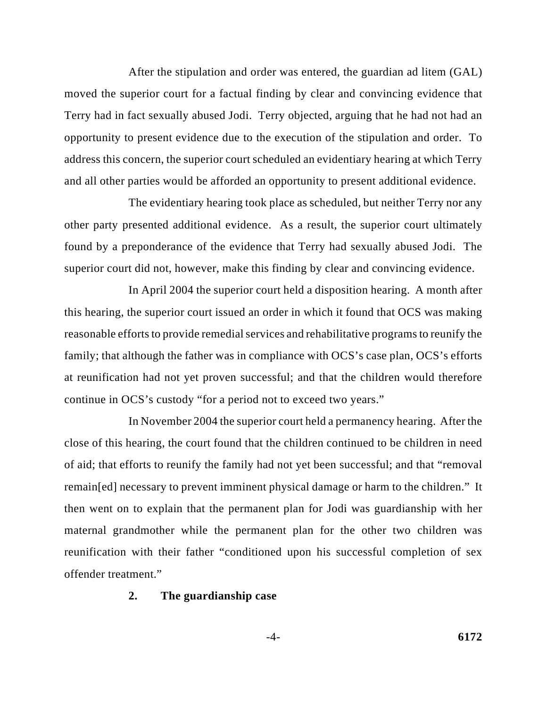After the stipulation and order was entered, the guardian ad litem (GAL) moved the superior court for a factual finding by clear and convincing evidence that Terry had in fact sexually abused Jodi. Terry objected, arguing that he had not had an opportunity to present evidence due to the execution of the stipulation and order. To address this concern, the superior court scheduled an evidentiary hearing at which Terry and all other parties would be afforded an opportunity to present additional evidence.

The evidentiary hearing took place as scheduled, but neither Terry nor any other party presented additional evidence. As a result, the superior court ultimately found by a preponderance of the evidence that Terry had sexually abused Jodi. The superior court did not, however, make this finding by clear and convincing evidence.

In April 2004 the superior court held a disposition hearing. A month after this hearing, the superior court issued an order in which it found that OCS was making reasonable efforts to provide remedial services and rehabilitative programs to reunify the family; that although the father was in compliance with OCS's case plan, OCS's efforts at reunification had not yet proven successful; and that the children would therefore continue in OCS's custody "for a period not to exceed two years."

In November 2004 the superior court held a permanency hearing. After the close of this hearing, the court found that the children continued to be children in need of aid; that efforts to reunify the family had not yet been successful; and that "removal remain[ed] necessary to prevent imminent physical damage or harm to the children." It then went on to explain that the permanent plan for Jodi was guardianship with her maternal grandmother while the permanent plan for the other two children was reunification with their father "conditioned upon his successful completion of sex offender treatment."

#### **2. The guardianship case**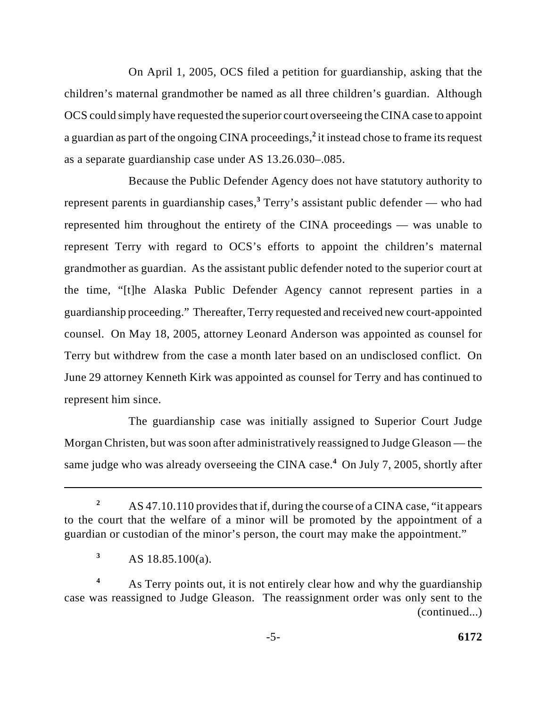On April 1, 2005, OCS filed a petition for guardianship, asking that the children's maternal grandmother be named as all three children's guardian. Although OCS could simply have requested the superior court overseeing the CINA case to appoint a guardian as part of the ongoing CINA proceedings,<sup>2</sup> it instead chose to frame its request as a separate guardianship case under AS 13.26.030–.085.

Because the Public Defender Agency does not have statutory authority to represent parents in guardianship cases,<sup>3</sup> Terry's assistant public defender — who had represented him throughout the entirety of the CINA proceedings — was unable to represent Terry with regard to OCS's efforts to appoint the children's maternal grandmother as guardian. As the assistant public defender noted to the superior court at the time, "[t]he Alaska Public Defender Agency cannot represent parties in a guardianship proceeding." Thereafter, Terry requested and received new court-appointed counsel. On May 18, 2005, attorney Leonard Anderson was appointed as counsel for Terry but withdrew from the case a month later based on an undisclosed conflict. On June 29 attorney Kenneth Kirk was appointed as counsel for Terry and has continued to represent him since.

The guardianship case was initially assigned to Superior Court Judge Morgan Christen, but was soon after administratively reassigned to Judge Gleason — the same judge who was already overseeing the CINA case.<sup>4</sup> On July 7, 2005, shortly after

AS 47.10.110 provides that if, during the course of a CINA case, "it appears **<sup>2</sup>** to the court that the welfare of a minor will be promoted by the appointment of a guardian or custodian of the minor's person, the court may make the appointment."

AS 18.85.100(a). **<sup>3</sup>**

As Terry points out, it is not entirely clear how and why the guardianship **<sup>4</sup>** case was reassigned to Judge Gleason. The reassignment order was only sent to the (continued...)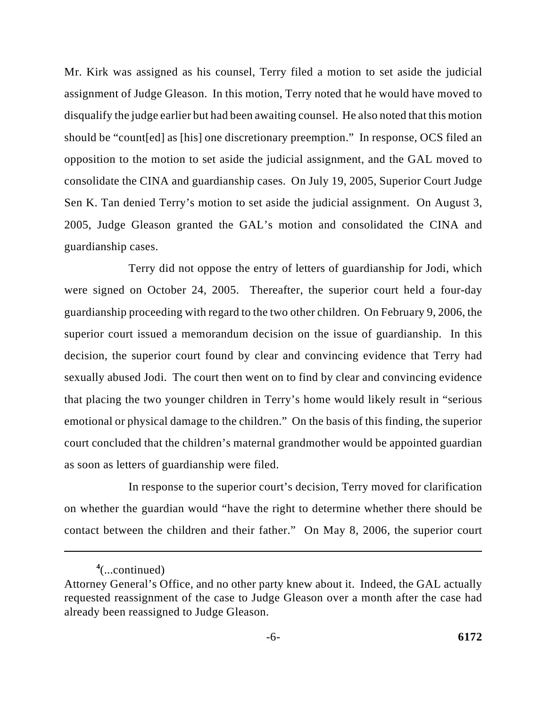Mr. Kirk was assigned as his counsel, Terry filed a motion to set aside the judicial assignment of Judge Gleason. In this motion, Terry noted that he would have moved to disqualify the judge earlier but had been awaiting counsel. He also noted that this motion should be "count[ed] as [his] one discretionary preemption." In response, OCS filed an opposition to the motion to set aside the judicial assignment, and the GAL moved to consolidate the CINA and guardianship cases. On July 19, 2005, Superior Court Judge Sen K. Tan denied Terry's motion to set aside the judicial assignment. On August 3, 2005, Judge Gleason granted the GAL's motion and consolidated the CINA and guardianship cases.

Terry did not oppose the entry of letters of guardianship for Jodi, which were signed on October 24, 2005. Thereafter, the superior court held a four-day guardianship proceeding with regard to the two other children. On February 9, 2006, the superior court issued a memorandum decision on the issue of guardianship. In this decision, the superior court found by clear and convincing evidence that Terry had sexually abused Jodi. The court then went on to find by clear and convincing evidence that placing the two younger children in Terry's home would likely result in "serious emotional or physical damage to the children." On the basis of this finding, the superior court concluded that the children's maternal grandmother would be appointed guardian as soon as letters of guardianship were filed.

In response to the superior court's decision, Terry moved for clarification on whether the guardian would "have the right to determine whether there should be contact between the children and their father." On May 8, 2006, the superior court

<sup>(...</sup>continued) **<sup>4</sup>**

Attorney General's Office, and no other party knew about it. Indeed, the GAL actually requested reassignment of the case to Judge Gleason over a month after the case had already been reassigned to Judge Gleason.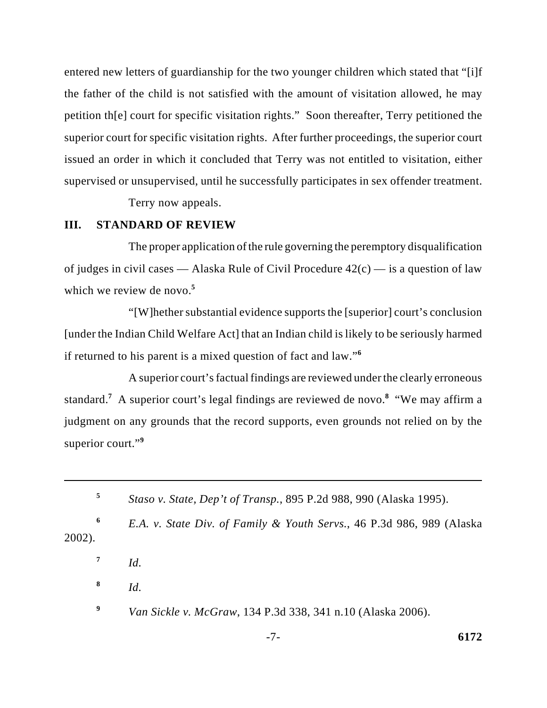entered new letters of guardianship for the two younger children which stated that "[i]f the father of the child is not satisfied with the amount of visitation allowed, he may petition th[e] court for specific visitation rights." Soon thereafter, Terry petitioned the superior court for specific visitation rights. After further proceedings, the superior court issued an order in which it concluded that Terry was not entitled to visitation, either supervised or unsupervised, until he successfully participates in sex offender treatment.

Terry now appeals.

### **III. STANDARD OF REVIEW**

The proper application of the rule governing the peremptory disqualification of judges in civil cases — Alaska Rule of Civil Procedure  $42(c)$  — is a question of law which we review de novo.**<sup>5</sup>**

"[W]hether substantial evidence supports the [superior] court's conclusion [under the Indian Child Welfare Act] that an Indian child is likely to be seriously harmed if returned to his parent is a mixed question of fact and law."**<sup>6</sup>**

A superior court's factual findings are reviewed under the clearly erroneous standard.<sup>7</sup> A superior court's legal findings are reviewed de novo.<sup>8</sup> "We may affirm a judgment on any grounds that the record supports, even grounds not relied on by the superior court."**<sup>9</sup>**

- *Id.*  **7**
- *Id.*  **8**
- *Van Sickle v. McGraw*, 134 P.3d 338, 341 n.10 (Alaska 2006). **<sup>9</sup>**

*Staso v. State, Dep't of Transp.*, 895 P.2d 988, 990 (Alaska 1995). **<sup>5</sup>**

*E.A. v. State Div. of Family & Youth Servs.*, 46 P.3d 986, 989 (Alaska **<sup>6</sup>** 2002).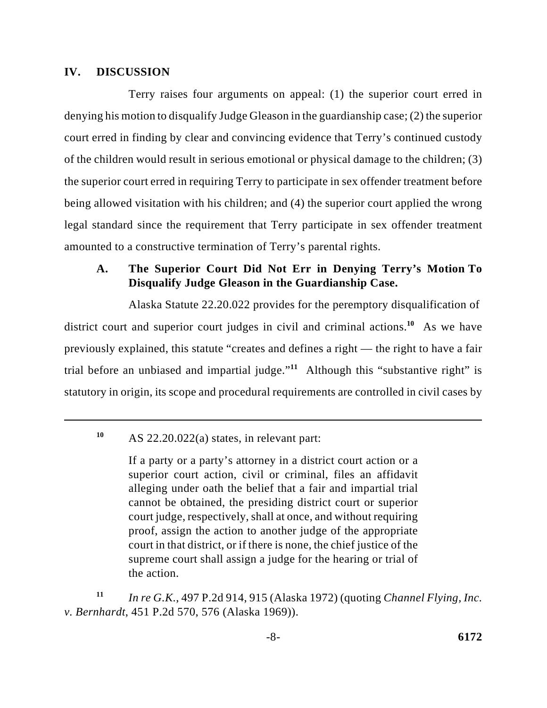### **IV. DISCUSSION**

Terry raises four arguments on appeal: (1) the superior court erred in denying his motion to disqualify Judge Gleason in the guardianship case; (2) the superior court erred in finding by clear and convincing evidence that Terry's continued custody of the children would result in serious emotional or physical damage to the children; (3) the superior court erred in requiring Terry to participate in sex offender treatment before being allowed visitation with his children; and (4) the superior court applied the wrong legal standard since the requirement that Terry participate in sex offender treatment amounted to a constructive termination of Terry's parental rights.

## **A. The Superior Court Did Not Err in Denying Terry's Motion To Disqualify Judge Gleason in the Guardianship Case.**

Alaska Statute 22.20.022 provides for the peremptory disqualification of district court and superior court judges in civil and criminal actions.<sup>10</sup> As we have previously explained, this statute "creates and defines a right — the right to have a fair trial before an unbiased and impartial judge.<sup> $11$ </sup> Although this "substantive right" is statutory in origin, its scope and procedural requirements are controlled in civil cases by

AS 22.20.022(a) states, in relevant part: **<sup>10</sup>**

If a party or a party's attorney in a district court action or a superior court action, civil or criminal, files an affidavit alleging under oath the belief that a fair and impartial trial cannot be obtained, the presiding district court or superior court judge, respectively, shall at once, and without requiring proof, assign the action to another judge of the appropriate court in that district, or if there is none, the chief justice of the supreme court shall assign a judge for the hearing or trial of the action.

*In re G.K.*, 497 P.2d 914, 915 (Alaska 1972) (quoting *Channel Flying, Inc.* **<sup>11</sup>** *v. Bernhardt*, 451 P.2d 570, 576 (Alaska 1969)).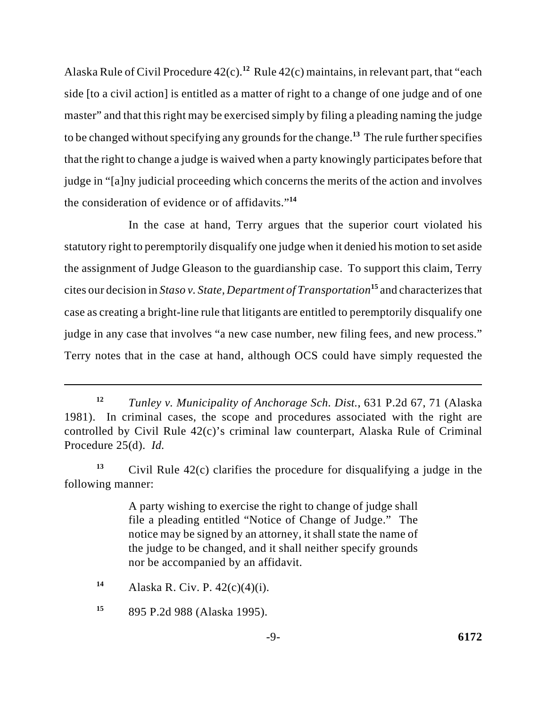Alaska Rule of Civil Procedure 42(c).<sup>12</sup> Rule 42(c) maintains, in relevant part, that "each side [to a civil action] is entitled as a matter of right to a change of one judge and of one master" and that this right may be exercised simply by filing a pleading naming the judge to be changed without specifying any grounds for the change.<sup>13</sup> The rule further specifies that the right to change a judge is waived when a party knowingly participates before that judge in "[a]ny judicial proceeding which concerns the merits of the action and involves the consideration of evidence or of affidavits."**<sup>14</sup>**

In the case at hand, Terry argues that the superior court violated his statutory right to peremptorily disqualify one judge when it denied his motion to set aside the assignment of Judge Gleason to the guardianship case. To support this claim, Terry cites our decision in *Staso v. State, Department of Transportation*<sup>15</sup> and characterizes that case as creating a bright-line rule that litigants are entitled to peremptorily disqualify one judge in any case that involves "a new case number, new filing fees, and new process." Terry notes that in the case at hand, although OCS could have simply requested the

<sup>13</sup> Civil Rule  $42(c)$  clarifies the procedure for disqualifying a judge in the following manner:

> A party wishing to exercise the right to change of judge shall file a pleading entitled "Notice of Change of Judge." The notice may be signed by an attorney, it shall state the name of the judge to be changed, and it shall neither specify grounds nor be accompanied by an affidavit.

*Tunley v. Municipality of Anchorage Sch. Dist.*, 631 P.2d 67, 71 (Alaska **<sup>12</sup>** 1981). In criminal cases, the scope and procedures associated with the right are controlled by Civil Rule 42(c)'s criminal law counterpart, Alaska Rule of Criminal Procedure 25(d). *Id.*

Alaska R. Civ. P. 42(c)(4)(i). **<sup>14</sup>**

<sup>895</sup> P.2d 988 (Alaska 1995). **<sup>15</sup>**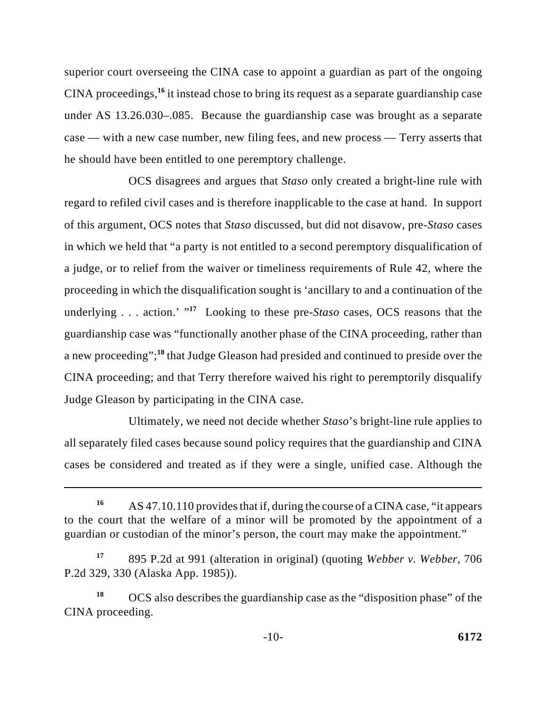superior court overseeing the CINA case to appoint a guardian as part of the ongoing CINA proceedings,<sup>16</sup> it instead chose to bring its request as a separate guardianship case under AS 13.26.030–.085. Because the guardianship case was brought as a separate case — with a new case number, new filing fees, and new process — Terry asserts that he should have been entitled to one peremptory challenge.

OCS disagrees and argues that *Staso* only created a bright-line rule with regard to refiled civil cases and is therefore inapplicable to the case at hand. In support of this argument, OCS notes that *Staso* discussed, but did not disavow, pre-*Staso* cases in which we held that "a party is not entitled to a second peremptory disqualification of a judge, or to relief from the waiver or timeliness requirements of Rule 42, where the proceeding in which the disqualification sought is 'ancillary to and a continuation of the underlying . . . action.'  $17$  Looking to these pre-*Staso* cases, OCS reasons that the guardianship case was "functionally another phase of the CINA proceeding, rather than a new proceeding";<sup>18</sup> that Judge Gleason had presided and continued to preside over the CINA proceeding; and that Terry therefore waived his right to peremptorily disqualify Judge Gleason by participating in the CINA case.

Ultimately, we need not decide whether *Staso*'s bright-line rule applies to all separately filed cases because sound policy requires that the guardianship and CINA cases be considered and treated as if they were a single, unified case. Although the

AS 47.10.110 provides that if, during the course of a CINA case, "it appears **<sup>16</sup>** to the court that the welfare of a minor will be promoted by the appointment of a guardian or custodian of the minor's person, the court may make the appointment."

<sup>895</sup> P.2d at 991 (alteration in original) (quoting *Webber v. Webber*, 706 **<sup>17</sup>** P.2d 329, 330 (Alaska App. 1985)).

<sup>&</sup>lt;sup>18</sup> OCS also describes the guardianship case as the "disposition phase" of the CINA proceeding.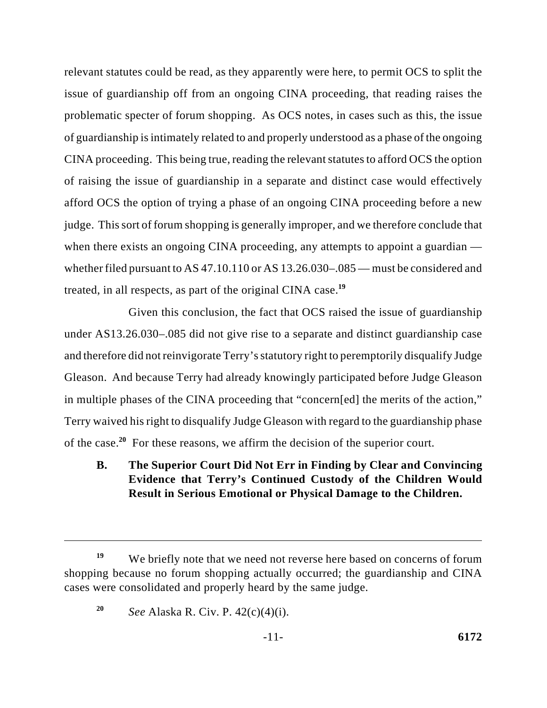relevant statutes could be read, as they apparently were here, to permit OCS to split the issue of guardianship off from an ongoing CINA proceeding, that reading raises the problematic specter of forum shopping. As OCS notes, in cases such as this, the issue of guardianship is intimately related to and properly understood as a phase of the ongoing CINA proceeding. This being true, reading the relevant statutes to afford OCS the option of raising the issue of guardianship in a separate and distinct case would effectively afford OCS the option of trying a phase of an ongoing CINA proceeding before a new judge. This sort of forum shopping is generally improper, and we therefore conclude that when there exists an ongoing CINA proceeding, any attempts to appoint a guardian whether filed pursuant to AS 47.10.110 or AS 13.26.030–.085 — must be considered and treated, in all respects, as part of the original CINA case.**<sup>19</sup>**

Given this conclusion, the fact that OCS raised the issue of guardianship under AS13.26.030–.085 did not give rise to a separate and distinct guardianship case and therefore did not reinvigorate Terry's statutory right to peremptorily disqualify Judge Gleason. And because Terry had already knowingly participated before Judge Gleason in multiple phases of the CINA proceeding that "concern[ed] the merits of the action," Terry waived his right to disqualify Judge Gleason with regard to the guardianship phase of the case.<sup>20</sup> For these reasons, we affirm the decision of the superior court.

# **B. The Superior Court Did Not Err in Finding by Clear and Convincing Evidence that Terry's Continued Custody of the Children Would Result in Serious Emotional or Physical Damage to the Children.**

We briefly note that we need not reverse here based on concerns of forum **<sup>19</sup>** shopping because no forum shopping actually occurred; the guardianship and CINA cases were consolidated and properly heard by the same judge.

*See* Alaska R. Civ. P. 42(c)(4)(i). **<sup>20</sup>**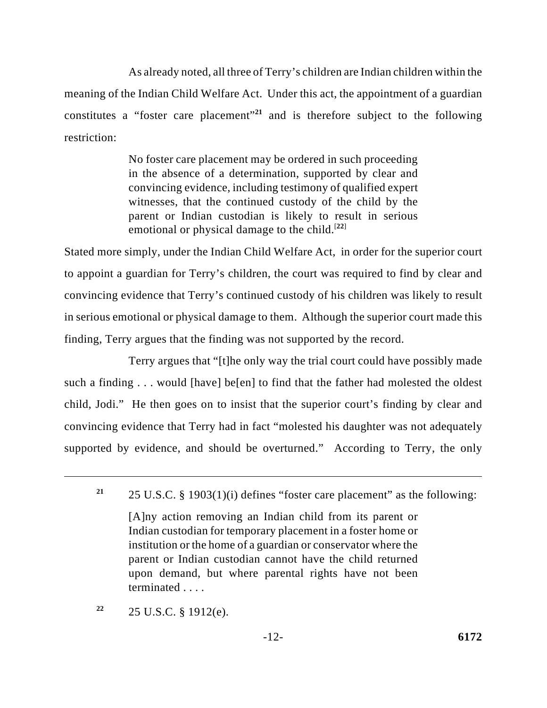As already noted, all three of Terry's children are Indian children within the meaning of the Indian Child Welfare Act. Under this act, the appointment of a guardian constitutes a "foster care placement"<sup>21</sup> and is therefore subject to the following restriction:

> No foster care placement may be ordered in such proceeding in the absence of a determination, supported by clear and convincing evidence, including testimony of qualified expert witnesses, that the continued custody of the child by the parent or Indian custodian is likely to result in serious emotional or physical damage to the child.<sup>[22]</sup>

Stated more simply, under the Indian Child Welfare Act, in order for the superior court to appoint a guardian for Terry's children, the court was required to find by clear and convincing evidence that Terry's continued custody of his children was likely to result in serious emotional or physical damage to them. Although the superior court made this finding, Terry argues that the finding was not supported by the record.

Terry argues that "[t]he only way the trial court could have possibly made such a finding . . . would [have] be[en] to find that the father had molested the oldest child, Jodi." He then goes on to insist that the superior court's finding by clear and convincing evidence that Terry had in fact "molested his daughter was not adequately supported by evidence, and should be overturned." According to Terry, the only

[A]ny action removing an Indian child from its parent or Indian custodian for temporary placement in a foster home or institution or the home of a guardian or conservator where the parent or Indian custodian cannot have the child returned upon demand, but where parental rights have not been terminated . . . .

25 U.S.C. § 1912(e). **22**

<sup>25</sup> U.S.C. § 1903(1)(i) defines "foster care placement" as the following: **<sup>21</sup>**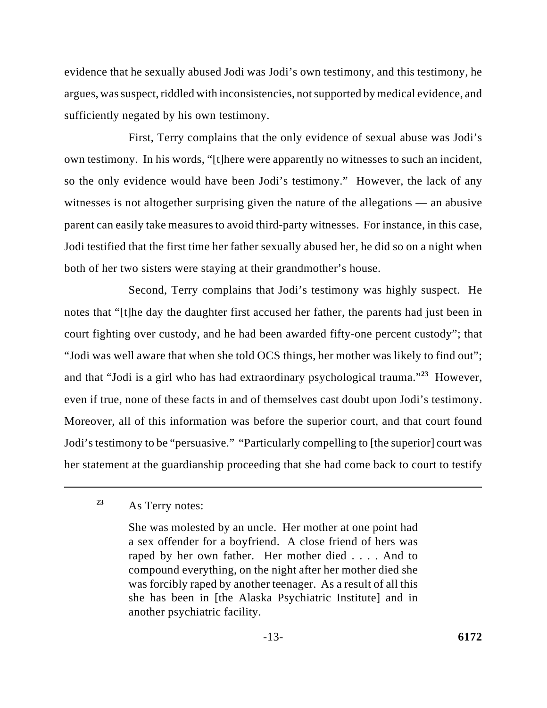evidence that he sexually abused Jodi was Jodi's own testimony, and this testimony, he argues, was suspect, riddled with inconsistencies, not supported by medical evidence, and sufficiently negated by his own testimony.

First, Terry complains that the only evidence of sexual abuse was Jodi's own testimony. In his words, "[t]here were apparently no witnesses to such an incident, so the only evidence would have been Jodi's testimony." However, the lack of any witnesses is not altogether surprising given the nature of the allegations — an abusive parent can easily take measures to avoid third-party witnesses. For instance, in this case, Jodi testified that the first time her father sexually abused her, he did so on a night when both of her two sisters were staying at their grandmother's house.

Second, Terry complains that Jodi's testimony was highly suspect. He notes that "[t]he day the daughter first accused her father, the parents had just been in court fighting over custody, and he had been awarded fifty-one percent custody"; that "Jodi was well aware that when she told OCS things, her mother was likely to find out"; and that "Jodi is a girl who has had extraordinary psychological trauma."<sup>23</sup> However, even if true, none of these facts in and of themselves cast doubt upon Jodi's testimony. Moreover, all of this information was before the superior court, and that court found Jodi's testimony to be "persuasive." "Particularly compelling to [the superior] court was her statement at the guardianship proceeding that she had come back to court to testify

## As Terry notes: **<sup>23</sup>**

She was molested by an uncle. Her mother at one point had a sex offender for a boyfriend. A close friend of hers was raped by her own father. Her mother died . . . . And to compound everything, on the night after her mother died she was forcibly raped by another teenager. As a result of all this she has been in [the Alaska Psychiatric Institute] and in another psychiatric facility.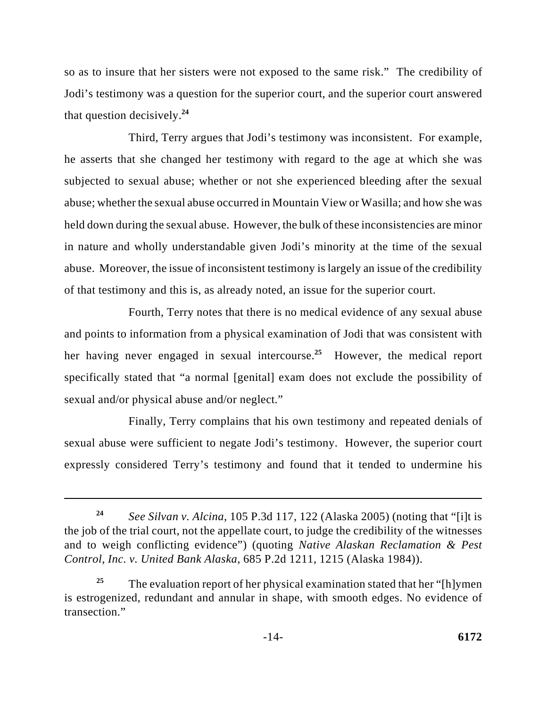so as to insure that her sisters were not exposed to the same risk." The credibility of Jodi's testimony was a question for the superior court, and the superior court answered that question decisively.**<sup>24</sup>**

Third, Terry argues that Jodi's testimony was inconsistent. For example, he asserts that she changed her testimony with regard to the age at which she was subjected to sexual abuse; whether or not she experienced bleeding after the sexual abuse; whether the sexual abuse occurred in Mountain View or Wasilla; and how she was held down during the sexual abuse. However, the bulk of these inconsistencies are minor in nature and wholly understandable given Jodi's minority at the time of the sexual abuse. Moreover, the issue of inconsistent testimony is largely an issue of the credibility of that testimony and this is, as already noted, an issue for the superior court.

Fourth, Terry notes that there is no medical evidence of any sexual abuse and points to information from a physical examination of Jodi that was consistent with her having never engaged in sexual intercourse.<sup>25</sup> However, the medical report specifically stated that "a normal [genital] exam does not exclude the possibility of sexual and/or physical abuse and/or neglect."

Finally, Terry complains that his own testimony and repeated denials of sexual abuse were sufficient to negate Jodi's testimony. However, the superior court expressly considered Terry's testimony and found that it tended to undermine his

*See Silvan v. Alcina*, 105 P.3d 117, 122 (Alaska 2005) (noting that "[i]t is **<sup>24</sup>** the job of the trial court, not the appellate court, to judge the credibility of the witnesses and to weigh conflicting evidence") (quoting *Native Alaskan Reclamation & Pest Control, Inc. v. United Bank Alaska*, 685 P.2d 1211, 1215 (Alaska 1984)).

The evaluation report of her physical examination stated that her "[h]ymen **<sup>25</sup>** is estrogenized, redundant and annular in shape, with smooth edges. No evidence of transection."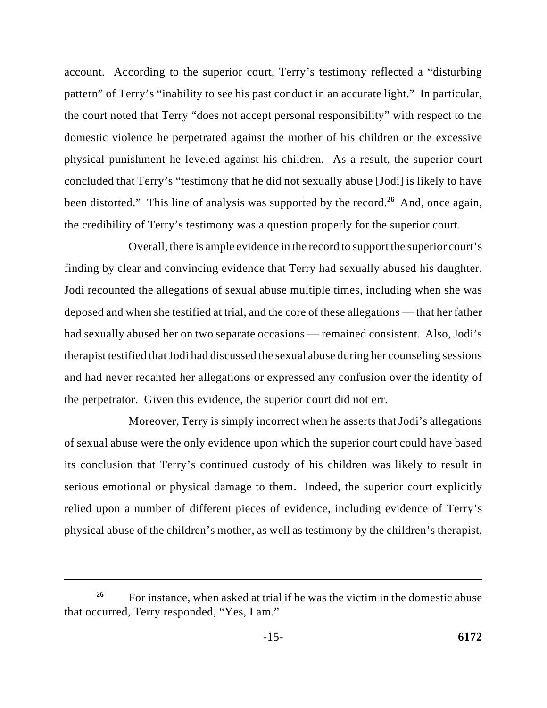account. According to the superior court, Terry's testimony reflected a "disturbing pattern" of Terry's "inability to see his past conduct in an accurate light." In particular, the court noted that Terry "does not accept personal responsibility" with respect to the domestic violence he perpetrated against the mother of his children or the excessive physical punishment he leveled against his children. As a result, the superior court concluded that Terry's "testimony that he did not sexually abuse [Jodi] is likely to have been distorted." This line of analysis was supported by the record.<sup>26</sup> And, once again, the credibility of Terry's testimony was a question properly for the superior court.

Overall, there is ample evidence in the record to support the superior court's finding by clear and convincing evidence that Terry had sexually abused his daughter. Jodi recounted the allegations of sexual abuse multiple times, including when she was deposed and when she testified at trial, and the core of these allegations — that her father had sexually abused her on two separate occasions — remained consistent. Also, Jodi's therapist testified that Jodi had discussed the sexual abuse during her counseling sessions and had never recanted her allegations or expressed any confusion over the identity of the perpetrator. Given this evidence, the superior court did not err.

Moreover, Terry is simply incorrect when he asserts that Jodi's allegations of sexual abuse were the only evidence upon which the superior court could have based its conclusion that Terry's continued custody of his children was likely to result in serious emotional or physical damage to them. Indeed, the superior court explicitly relied upon a number of different pieces of evidence, including evidence of Terry's physical abuse of the children's mother, as well as testimony by the children's therapist,

For instance, when asked at trial if he was the victim in the domestic abuse **<sup>26</sup>** that occurred, Terry responded, "Yes, I am."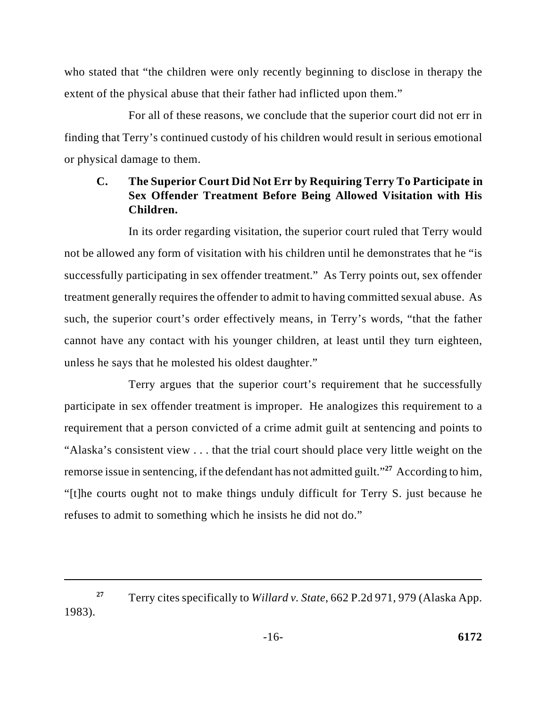who stated that "the children were only recently beginning to disclose in therapy the extent of the physical abuse that their father had inflicted upon them."

For all of these reasons, we conclude that the superior court did not err in finding that Terry's continued custody of his children would result in serious emotional or physical damage to them.

## **C. The Superior Court Did Not Err by Requiring Terry To Participate in Sex Offender Treatment Before Being Allowed Visitation with His Children.**

In its order regarding visitation, the superior court ruled that Terry would not be allowed any form of visitation with his children until he demonstrates that he "is successfully participating in sex offender treatment." As Terry points out, sex offender treatment generally requires the offender to admit to having committed sexual abuse. As such, the superior court's order effectively means, in Terry's words, "that the father cannot have any contact with his younger children, at least until they turn eighteen, unless he says that he molested his oldest daughter."

Terry argues that the superior court's requirement that he successfully participate in sex offender treatment is improper. He analogizes this requirement to a requirement that a person convicted of a crime admit guilt at sentencing and points to "Alaska's consistent view . . . that the trial court should place very little weight on the remorse issue in sentencing, if the defendant has not admitted guilt."<sup>27</sup> According to him, "[t]he courts ought not to make things unduly difficult for Terry S. just because he refuses to admit to something which he insists he did not do."

Terry cites specifically to *Willard v. State*, 662 P.2d 971, 979 (Alaska App. **<sup>27</sup>** 1983).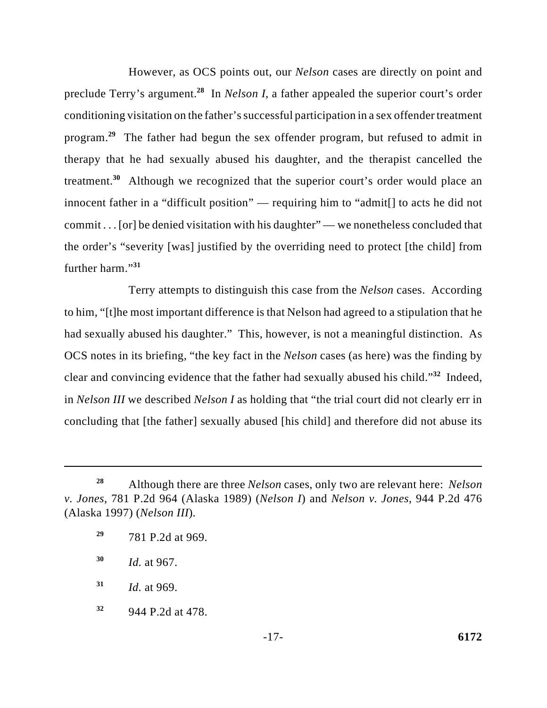However, as OCS points out, our *Nelson* cases are directly on point and preclude Terry's argument.<sup>28</sup> In *Nelson I*, a father appealed the superior court's order conditioning visitation on the father's successful participation in a sex offender treatment program.<sup>29</sup> The father had begun the sex offender program, but refused to admit in therapy that he had sexually abused his daughter, and the therapist cancelled the treatment.<sup>30</sup> Although we recognized that the superior court's order would place an innocent father in a "difficult position" — requiring him to "admit[] to acts he did not commit . . . [or] be denied visitation with his daughter" — we nonetheless concluded that the order's "severity [was] justified by the overriding need to protect [the child] from further harm."**<sup>31</sup>**

Terry attempts to distinguish this case from the *Nelson* cases. According to him, "[t]he most important difference is that Nelson had agreed to a stipulation that he had sexually abused his daughter." This, however, is not a meaningful distinction. As OCS notes in its briefing, "the key fact in the *Nelson* cases (as here) was the finding by clear and convincing evidence that the father had sexually abused his child."<sup>32</sup> Indeed, in *Nelson III* we described *Nelson I* as holding that "the trial court did not clearly err in concluding that [the father] sexually abused [his child] and therefore did not abuse its

Although there are three *Nelson* cases, only two are relevant here: *Nelson* **<sup>28</sup>** *v. Jones*, 781 P.2d 964 (Alaska 1989) (*Nelson I*) and *Nelson v. Jones*, 944 P.2d 476 (Alaska 1997) (*Nelson III*).

<sup>781</sup> P.2d at 969. **29**

*Id.* at 967. **<sup>30</sup>**

*Id.* at 969. **31**

<sup>944</sup> P.2d at 478. **32**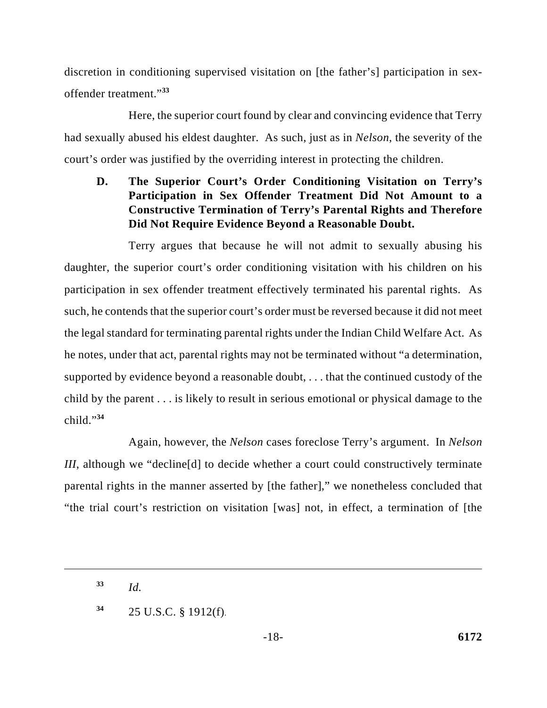discretion in conditioning supervised visitation on [the father's] participation in sexoffender treatment."**<sup>33</sup>**

Here, the superior court found by clear and convincing evidence that Terry had sexually abused his eldest daughter. As such, just as in *Nelson*, the severity of the court's order was justified by the overriding interest in protecting the children.

**D. The Superior Court's Order Conditioning Visitation on Terry's Participation in Sex Offender Treatment Did Not Amount to a Constructive Termination of Terry's Parental Rights and Therefore Did Not Require Evidence Beyond a Reasonable Doubt.**

Terry argues that because he will not admit to sexually abusing his daughter, the superior court's order conditioning visitation with his children on his participation in sex offender treatment effectively terminated his parental rights. As such, he contends that the superior court's order must be reversed because it did not meet the legal standard for terminating parental rights under the Indian Child Welfare Act. As he notes, under that act, parental rights may not be terminated without "a determination, supported by evidence beyond a reasonable doubt, . . . that the continued custody of the child by the parent . . . is likely to result in serious emotional or physical damage to the child."**<sup>34</sup>**

Again, however, the *Nelson* cases foreclose Terry's argument. In *Nelson III*, although we "decline[d] to decide whether a court could constructively terminate parental rights in the manner asserted by [the father]," we nonetheless concluded that "the trial court's restriction on visitation [was] not, in effect, a termination of [the

*Id.* **<sup>33</sup>**

<sup>25</sup> U.S.C. § 1912(f). **34**